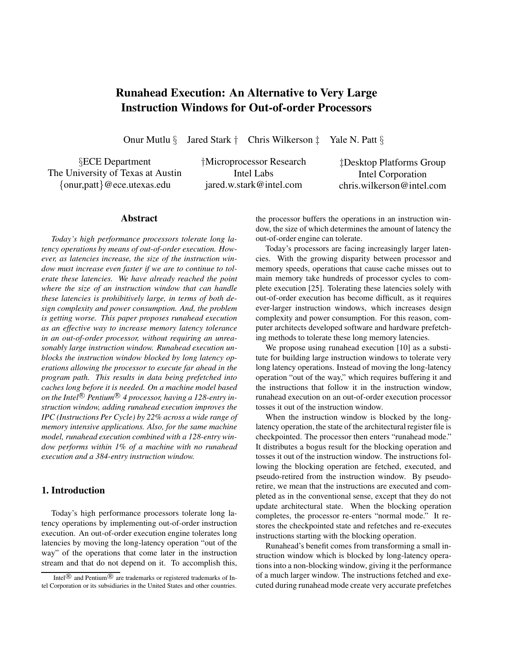# **Runahead Execution: An Alternative to Very Large Instruction Windows for Out-of-order Processors**

Onur Mutlu *§* Jared Stark *†* Chris Wilkerson *‡* Yale N. Patt *§*

*§*ECE Department The University of Texas at Austin *{*onur,patt*}*@ece.utexas.edu

*†*Microprocessor Research Intel Labs jared.w.stark@intel.com

*‡*Desktop Platforms Group Intel Corporation chris.wilkerson@intel.com

#### **Abstract**

*Today's high performance processors tolerate long latency operations by means of out-of-order execution. However, as latencies increase, the size of the instruction window must increase even faster if we are to continue to tolerate these latencies. We have already reached the point where the size of an instruction window that can handle these latencies is prohibitively large, in terms of both design complexity and power consumption. And, the problem is getting worse. This paper proposes runahead execution as an effective way to increase memory latency tolerance in an out-of-order processor, without requiring an unreasonably large instruction window. Runahead execution unblocks the instruction window blocked by long latency operations allowing the processor to execute far ahead in the program path. This results in data being prefetched into caches long before it is needed. On a machine model based on the Intel*<sup>®</sup> *Pentium*<sup>®</sup> *4 processor, having a 128-entry instruction window, adding runahead execution improves the IPC (Instructions Per Cycle) by 22% across a wide range of memory intensive applications. Also, for the same machine model, runahead execution combined with a 128-entry window performs within 1% of a machine with no runahead execution and a 384-entry instruction window.*

# **1. Introduction**

Today's high performance processors tolerate long latency operations by implementing out-of-order instruction execution. An out-of-order execution engine tolerates long latencies by moving the long-latency operation "out of the way" of the operations that come later in the instruction stream and that do not depend on it. To accomplish this,

the processor buffers the operations in an instruction window, the size of which determines the amount of latency the out-of-order engine can tolerate.

Today's processors are facing increasingly larger latencies. With the growing disparity between processor and memory speeds, operations that cause cache misses out to main memory take hundreds of processor cycles to complete execution [25]. Tolerating these latencies solely with out-of-order execution has become difficult, as it requires ever-larger instruction windows, which increases design complexity and power consumption. For this reason, computer architects developed software and hardware prefetching methods to tolerate these long memory latencies.

We propose using runahead execution [10] as a substitute for building large instruction windows to tolerate very long latency operations. Instead of moving the long-latency operation "out of the way," which requires buffering it and the instructions that follow it in the instruction window, runahead execution on an out-of-order execution processor tosses it out of the instruction window.

When the instruction window is blocked by the longlatency operation, the state of the architectural register file is checkpointed. The processor then enters "runahead mode." It distributes a bogus result for the blocking operation and tosses it out of the instruction window. The instructions following the blocking operation are fetched, executed, and pseudo-retired from the instruction window. By pseudoretire, we mean that the instructions are executed and completed as in the conventional sense, except that they do not update architectural state. When the blocking operation completes, the processor re-enters "normal mode." It restores the checkpointed state and refetches and re-executes instructions starting with the blocking operation.

Runahead's benefit comes from transforming a small instruction window which is blocked by long-latency operations into a non-blocking window, giving it the performance of a much larger window. The instructions fetched and executed during runahead mode create very accurate prefetches

Intel $\mathbb{R}$  and Pentium $\mathbb{R}$  are trademarks or registered trademarks of Intel Corporation or its subsidiaries in the United States and other countries.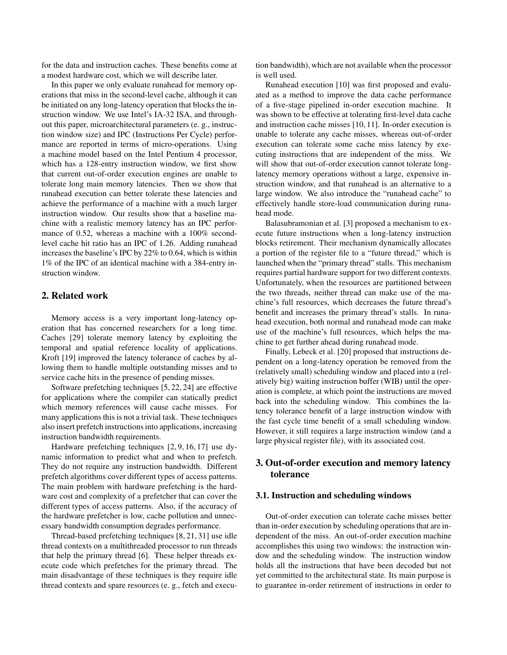for the data and instruction caches. These benefits come at a modest hardware cost, which we will describe later.

In this paper we only evaluate runahead for memory operations that miss in the second-level cache, although it can be initiated on any long-latency operation that blocks the instruction window. We use Intel's IA-32 ISA, and throughout this paper, microarchitectural parameters (e. g., instruction window size) and IPC (Instructions Per Cycle) performance are reported in terms of micro-operations. Using a machine model based on the Intel Pentium 4 processor, which has a 128-entry instruction window, we first show that current out-of-order execution engines are unable to tolerate long main memory latencies. Then we show that runahead execution can better tolerate these latencies and achieve the performance of a machine with a much larger instruction window. Our results show that a baseline machine with a realistic memory latency has an IPC performance of 0.52, whereas a machine with a  $100\%$  secondlevel cache hit ratio has an IPC of 1.26. Adding runahead increases the baseline's IPC by 22% to 0.64, which is within 1% of the IPC of an identical machine with a 384-entry instruction window.

# **2. Related work**

Memory access is a very important long-latency operation that has concerned researchers for a long time. Caches [29] tolerate memory latency by exploiting the temporal and spatial reference locality of applications. Kroft [19] improved the latency tolerance of caches by allowing them to handle multiple outstanding misses and to service cache hits in the presence of pending misses.

Software prefetching techniques [5, 22, 24] are effective for applications where the compiler can statically predict which memory references will cause cache misses. For many applications this is not a trivial task. These techniques also insert prefetch instructions into applications, increasing instruction bandwidth requirements.

Hardware prefetching techniques [2, 9, 16, 17] use dynamic information to predict what and when to prefetch. They do not require any instruction bandwidth. Different prefetch algorithms cover different types of access patterns. The main problem with hardware prefetching is the hardware cost and complexity of a prefetcher that can cover the different types of access patterns. Also, if the accuracy of the hardware prefetcher is low, cache pollution and unnecessary bandwidth consumption degrades performance.

Thread-based prefetching techniques [8, 21, 31] use idle thread contexts on a multithreaded processor to run threads that help the primary thread [6]. These helper threads execute code which prefetches for the primary thread. The main disadvantage of these techniques is they require idle thread contexts and spare resources (e. g., fetch and execution bandwidth), which are not available when the processor is well used.

Runahead execution [10] was first proposed and evaluated as a method to improve the data cache performance of a five-stage pipelined in-order execution machine. It was shown to be effective at tolerating first-level data cache and instruction cache misses [10, 11]. In-order execution is unable to tolerate any cache misses, whereas out-of-order execution can tolerate some cache miss latency by executing instructions that are independent of the miss. We will show that out-of-order execution cannot tolerate longlatency memory operations without a large, expensive instruction window, and that runahead is an alternative to a large window. We also introduce the "runahead cache" to effectively handle store-load communication during runahead mode.

Balasubramonian et al. [3] proposed a mechanism to execute future instructions when a long-latency instruction blocks retirement. Their mechanism dynamically allocates a portion of the register file to a "future thread," which is launched when the "primary thread" stalls. This mechanism requires partial hardware support for two different contexts. Unfortunately, when the resources are partitioned between the two threads, neither thread can make use of the machine's full resources, which decreases the future thread's benefit and increases the primary thread's stalls. In runahead execution, both normal and runahead mode can make use of the machine's full resources, which helps the machine to get further ahead during runahead mode.

Finally, Lebeck et al. [20] proposed that instructions dependent on a long-latency operation be removed from the (relatively small) scheduling window and placed into a (relatively big) waiting instruction buffer (WIB) until the operation is complete, at which point the instructions are moved back into the scheduling window. This combines the latency tolerance benefit of a large instruction window with the fast cycle time benefit of a small scheduling window. However, it still requires a large instruction window (and a large physical register file), with its associated cost.

# **3. Out-of-order execution and memory latency tolerance**

#### **3.1. Instruction and scheduling windows**

Out-of-order execution can tolerate cache misses better than in-order execution by scheduling operations that are independent of the miss. An out-of-order execution machine accomplishes this using two windows: the instruction window and the scheduling window. The instruction window holds all the instructions that have been decoded but not yet committed to the architectural state. Its main purpose is to guarantee in-order retirement of instructions in order to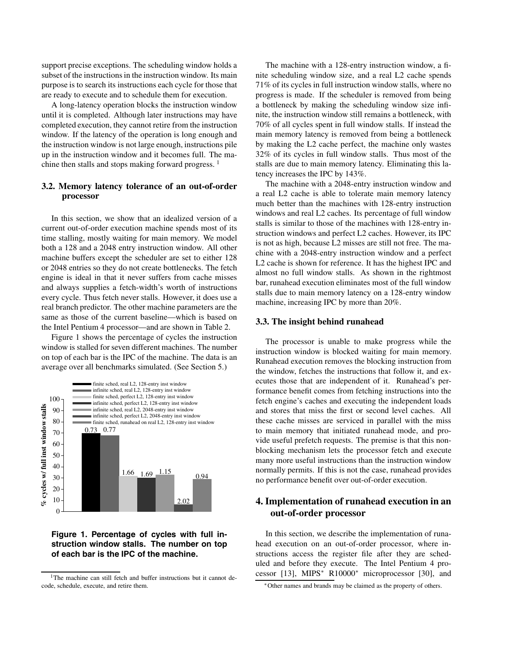support precise exceptions. The scheduling window holds a subset of the instructions in the instruction window. Its main purpose is to search its instructions each cycle for those that are ready to execute and to schedule them for execution.

A long-latency operation blocks the instruction window until it is completed. Although later instructions may have completed execution, they cannot retire from the instruction window. If the latency of the operation is long enough and the instruction window is not large enough, instructions pile up in the instruction window and it becomes full. The machine then stalls and stops making forward progress. <sup>1</sup>

## **3.2. Memory latency tolerance of an out-of-order processor**

In this section, we show that an idealized version of a current out-of-order execution machine spends most of its time stalling, mostly waiting for main memory. We model both a 128 and a 2048 entry instruction window. All other machine buffers except the scheduler are set to either 128 or 2048 entries so they do not create bottlenecks. The fetch engine is ideal in that it never suffers from cache misses and always supplies a fetch-width's worth of instructions every cycle. Thus fetch never stalls. However, it does use a real branch predictor. The other machine parameters are the same as those of the current baseline—which is based on the Intel Pentium 4 processor—and are shown in Table 2.

Figure 1 shows the percentage of cycles the instruction window is stalled for seven different machines. The number on top of each bar is the IPC of the machine. The data is an average over all benchmarks simulated. (See Section 5.)



**Figure 1. Percentage of cycles with full instruction window stalls. The number on top of each bar is the IPC of the machine.**

The machine with a 128-entry instruction window, a finite scheduling window size, and a real L2 cache spends 71% of its cycles in full instruction window stalls, where no progress is made. If the scheduler is removed from being a bottleneck by making the scheduling window size infinite, the instruction window still remains a bottleneck, with 70% of all cycles spent in full window stalls. If instead the main memory latency is removed from being a bottleneck by making the L2 cache perfect, the machine only wastes 32% of its cycles in full window stalls. Thus most of the stalls are due to main memory latency. Eliminating this latency increases the IPC by 143%.

The machine with a 2048-entry instruction window and a real L2 cache is able to tolerate main memory latency much better than the machines with 128-entry instruction windows and real L2 caches. Its percentage of full window stalls is similar to those of the machines with 128-entry instruction windows and perfect L2 caches. However, its IPC is not as high, because L2 misses are still not free. The machine with a 2048-entry instruction window and a perfect L2 cache is shown for reference. It has the highest IPC and almost no full window stalls. As shown in the rightmost bar, runahead execution eliminates most of the full window stalls due to main memory latency on a 128-entry window machine, increasing IPC by more than 20%.

#### **3.3. The insight behind runahead**

The processor is unable to make progress while the instruction window is blocked waiting for main memory. Runahead execution removes the blocking instruction from the window, fetches the instructions that follow it, and executes those that are independent of it. Runahead's performance benefit comes from fetching instructions into the fetch engine's caches and executing the independent loads and stores that miss the first or second level caches. All these cache misses are serviced in parallel with the miss to main memory that initiated runahead mode, and provide useful prefetch requests. The premise is that this nonblocking mechanism lets the processor fetch and execute many more useful instructions than the instruction window normally permits. If this is not the case, runahead provides no performance benefit over out-of-order execution.

# **4. Implementation of runahead execution in an out-of-order processor**

In this section, we describe the implementation of runahead execution on an out-of-order processor, where instructions access the register file after they are scheduled and before they execute. The Intel Pentium 4 processor [13], MIPS<sup>∗</sup> R10000<sup>∗</sup> microprocessor [30], and

<sup>&</sup>lt;sup>1</sup>The machine can still fetch and buffer instructions but it cannot decode, schedule, execute, and retire them.

<sup>∗</sup>Other names and brands may be claimed as the property of others.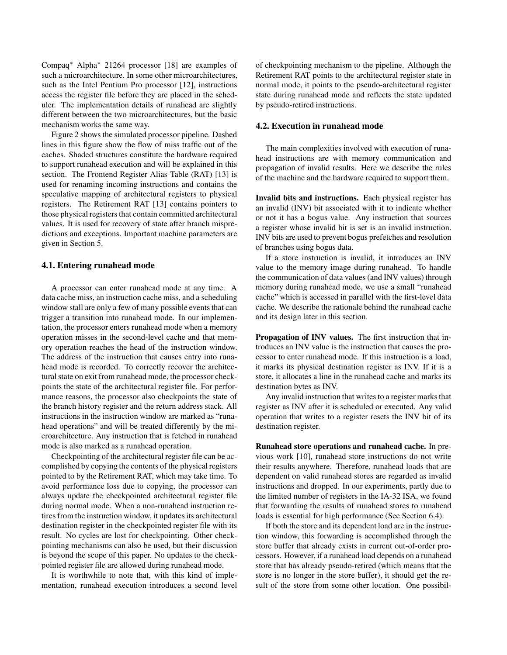Compaq∗ Alpha∗ 21264 processor [18] are examples of such a microarchitecture. In some other microarchitectures, such as the Intel Pentium Pro processor [12], instructions access the register file before they are placed in the scheduler. The implementation details of runahead are slightly different between the two microarchitectures, but the basic mechanism works the same way.

Figure 2 shows the simulated processor pipeline. Dashed lines in this figure show the flow of miss traffic out of the caches. Shaded structures constitute the hardware required to support runahead execution and will be explained in this section. The Frontend Register Alias Table (RAT) [13] is used for renaming incoming instructions and contains the speculative mapping of architectural registers to physical registers. The Retirement RAT [13] contains pointers to those physical registers that contain committed architectural values. It is used for recovery of state after branch mispredictions and exceptions. Important machine parameters are given in Section 5.

#### **4.1. Entering runahead mode**

A processor can enter runahead mode at any time. A data cache miss, an instruction cache miss, and a scheduling window stall are only a few of many possible events that can trigger a transition into runahead mode. In our implementation, the processor enters runahead mode when a memory operation misses in the second-level cache and that memory operation reaches the head of the instruction window. The address of the instruction that causes entry into runahead mode is recorded. To correctly recover the architectural state on exit from runahead mode, the processor checkpoints the state of the architectural register file. For performance reasons, the processor also checkpoints the state of the branch history register and the return address stack. All instructions in the instruction window are marked as "runahead operations" and will be treated differently by the microarchitecture. Any instruction that is fetched in runahead mode is also marked as a runahead operation.

Checkpointing of the architectural register file can be accomplished by copying the contents of the physical registers pointed to by the Retirement RAT, which may take time. To avoid performance loss due to copying, the processor can always update the checkpointed architectural register file during normal mode. When a non-runahead instruction retires from the instruction window, it updates its architectural destination register in the checkpointed register file with its result. No cycles are lost for checkpointing. Other checkpointing mechanisms can also be used, but their discussion is beyond the scope of this paper. No updates to the checkpointed register file are allowed during runahead mode.

It is worthwhile to note that, with this kind of implementation, runahead execution introduces a second level of checkpointing mechanism to the pipeline. Although the Retirement RAT points to the architectural register state in normal mode, it points to the pseudo-architectural register state during runahead mode and reflects the state updated by pseudo-retired instructions.

#### **4.2. Execution in runahead mode**

The main complexities involved with execution of runahead instructions are with memory communication and propagation of invalid results. Here we describe the rules of the machine and the hardware required to support them.

**Invalid bits and instructions.** Each physical register has an invalid (INV) bit associated with it to indicate whether or not it has a bogus value. Any instruction that sources a register whose invalid bit is set is an invalid instruction. INV bits are used to prevent bogus prefetches and resolution of branches using bogus data.

If a store instruction is invalid, it introduces an INV value to the memory image during runahead. To handle the communication of data values (and INV values) through memory during runahead mode, we use a small "runahead cache" which is accessed in parallel with the first-level data cache. We describe the rationale behind the runahead cache and its design later in this section.

**Propagation of INV values.** The first instruction that introduces an INV value is the instruction that causes the processor to enter runahead mode. If this instruction is a load, it marks its physical destination register as INV. If it is a store, it allocates a line in the runahead cache and marks its destination bytes as INV.

Any invalid instruction that writes to a register marks that register as INV after it is scheduled or executed. Any valid operation that writes to a register resets the INV bit of its destination register.

**Runahead store operations and runahead cache.** In previous work [10], runahead store instructions do not write their results anywhere. Therefore, runahead loads that are dependent on valid runahead stores are regarded as invalid instructions and dropped. In our experiments, partly due to the limited number of registers in the IA-32 ISA, we found that forwarding the results of runahead stores to runahead loads is essential for high performance (See Section 6.4).

If both the store and its dependent load are in the instruction window, this forwarding is accomplished through the store buffer that already exists in current out-of-order processors. However, if a runahead load depends on a runahead store that has already pseudo-retired (which means that the store is no longer in the store buffer), it should get the result of the store from some other location. One possibil-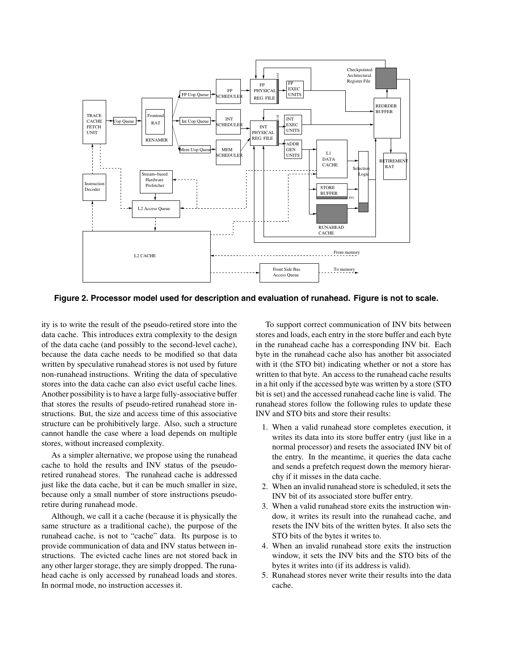

**Figure 2. Processor model used for description and evaluation of runahead. Figure is not to scale.**

ity is to write the result of the pseudo-retired store into the data cache. This introduces extra complexity to the design of the data cache (and possibly to the second-level cache), because the data cache needs to be modified so that data written by speculative runahead stores is not used by future non-runahead instructions. Writing the data of speculative stores into the data cache can also evict useful cache lines. Another possibility is to have a large fully-associative buffer that stores the results of pseudo-retired runahead store instructions. But, the size and access time of this associative structure can be prohibitively large. Also, such a structure cannot handle the case where a load depends on multiple stores, without increased complexity.

As a simpler alternative, we propose using the runahead cache to hold the results and INV status of the pseudoretired runahead stores. The runahead cache is addressed just like the data cache, but it can be much smaller in size, because only a small number of store instructions pseudoretire during runahead mode.

Although, we call it a cache (because it is physically the same structure as a traditional cache), the purpose of the runahead cache, is not to "cache" data. Its purpose is to provide communication of data and INV status between instructions. The evicted cache lines are not stored back in any other larger storage, they are simply dropped. The runahead cache is only accessed by runahead loads and stores. In normal mode, no instruction accesses it.

To support correct communication of INV bits between stores and loads, each entry in the store buffer and each byte in the runahead cache has a corresponding INV bit. Each byte in the runahead cache also has another bit associated with it (the STO bit) indicating whether or not a store has written to that byte. An access to the runahead cache results in a hit only if the accessed byte was written by a store (STO bit is set) and the accessed runahead cache line is valid. The runahead stores follow the following rules to update these INV and STO bits and store their results:

- 1. When a valid runahead store completes execution, it writes its data into its store buffer entry (just like in a normal processor) and resets the associated INV bit of the entry. In the meantime, it queries the data cache and sends a prefetch request down the memory hierarchy if it misses in the data cache.
- 2. When an invalid runahead store is scheduled, it sets the INV bit of its associated store buffer entry.
- 3. When a valid runahead store exits the instruction window, it writes its result into the runahead cache, and resets the INV bits of the written bytes. It also sets the STO bits of the bytes it writes to.
- 4. When an invalid runahead store exits the instruction window, it sets the INV bits and the STO bits of the bytes it writes into (if its address is valid).
- 5. Runahead stores never write their results into the data cache.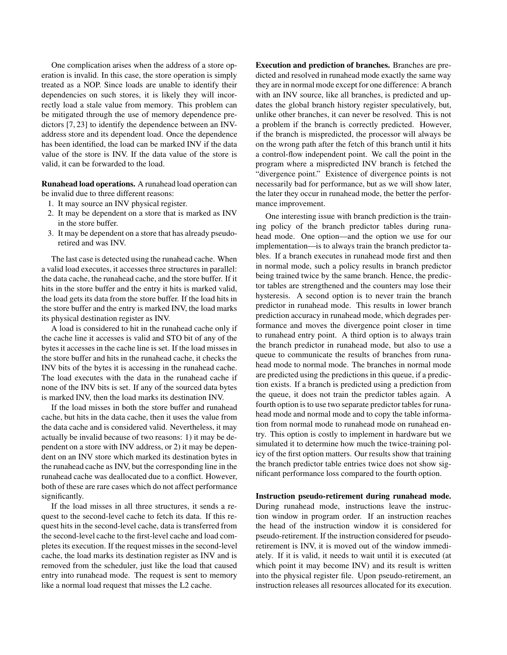One complication arises when the address of a store operation is invalid. In this case, the store operation is simply treated as a NOP. Since loads are unable to identify their dependencies on such stores, it is likely they will incorrectly load a stale value from memory. This problem can be mitigated through the use of memory dependence predictors [7, 23] to identify the dependence between an INVaddress store and its dependent load. Once the dependence has been identified, the load can be marked INV if the data value of the store is INV. If the data value of the store is valid, it can be forwarded to the load.

**Runahead load operations.** A runahead load operation can be invalid due to three different reasons:

- 1. It may source an INV physical register.
- 2. It may be dependent on a store that is marked as INV in the store buffer.
- 3. It may be dependent on a store that has already pseudoretired and was INV.

The last case is detected using the runahead cache. When a valid load executes, it accesses three structures in parallel: the data cache, the runahead cache, and the store buffer. If it hits in the store buffer and the entry it hits is marked valid, the load gets its data from the store buffer. If the load hits in the store buffer and the entry is marked INV, the load marks its physical destination register as INV.

A load is considered to hit in the runahead cache only if the cache line it accesses is valid and STO bit of any of the bytes it accesses in the cache line is set. If the load misses in the store buffer and hits in the runahead cache, it checks the INV bits of the bytes it is accessing in the runahead cache. The load executes with the data in the runahead cache if none of the INV bits is set. If any of the sourced data bytes is marked INV, then the load marks its destination INV.

If the load misses in both the store buffer and runahead cache, but hits in the data cache, then it uses the value from the data cache and is considered valid. Nevertheless, it may actually be invalid because of two reasons: 1) it may be dependent on a store with INV address, or 2) it may be dependent on an INV store which marked its destination bytes in the runahead cache as INV, but the corresponding line in the runahead cache was deallocated due to a conflict. However, both of these are rare cases which do not affect performance significantly.

If the load misses in all three structures, it sends a request to the second-level cache to fetch its data. If this request hits in the second-level cache, data is transferred from the second-level cache to the first-level cache and load completes its execution. If the request misses in the second-level cache, the load marks its destination register as INV and is removed from the scheduler, just like the load that caused entry into runahead mode. The request is sent to memory like a normal load request that misses the L2 cache.

**Execution and prediction of branches.** Branches are predicted and resolved in runahead mode exactly the same way they are in normal mode except for one difference: A branch with an INV source, like all branches, is predicted and updates the global branch history register speculatively, but, unlike other branches, it can never be resolved. This is not a problem if the branch is correctly predicted. However, if the branch is mispredicted, the processor will always be on the wrong path after the fetch of this branch until it hits a control-flow independent point. We call the point in the program where a mispredicted INV branch is fetched the "divergence point." Existence of divergence points is not necessarily bad for performance, but as we will show later, the later they occur in runahead mode, the better the performance improvement.

One interesting issue with branch prediction is the training policy of the branch predictor tables during runahead mode. One option—and the option we use for our implementation—is to always train the branch predictor tables. If a branch executes in runahead mode first and then in normal mode, such a policy results in branch predictor being trained twice by the same branch. Hence, the predictor tables are strengthened and the counters may lose their hysteresis. A second option is to never train the branch predictor in runahead mode. This results in lower branch prediction accuracy in runahead mode, which degrades performance and moves the divergence point closer in time to runahead entry point. A third option is to always train the branch predictor in runahead mode, but also to use a queue to communicate the results of branches from runahead mode to normal mode. The branches in normal mode are predicted using the predictions in this queue, if a prediction exists. If a branch is predicted using a prediction from the queue, it does not train the predictor tables again. A fourth option is to use two separate predictor tables for runahead mode and normal mode and to copy the table information from normal mode to runahead mode on runahead entry. This option is costly to implement in hardware but we simulated it to determine how much the twice-training policy of the first option matters. Our results show that training the branch predictor table entries twice does not show significant performance loss compared to the fourth option.

**Instruction pseudo-retirement during runahead mode.** During runahead mode, instructions leave the instruction window in program order. If an instruction reaches the head of the instruction window it is considered for pseudo-retirement. If the instruction considered for pseudoretirement is INV, it is moved out of the window immediately. If it is valid, it needs to wait until it is executed (at which point it may become INV) and its result is written into the physical register file. Upon pseudo-retirement, an instruction releases all resources allocated for its execution.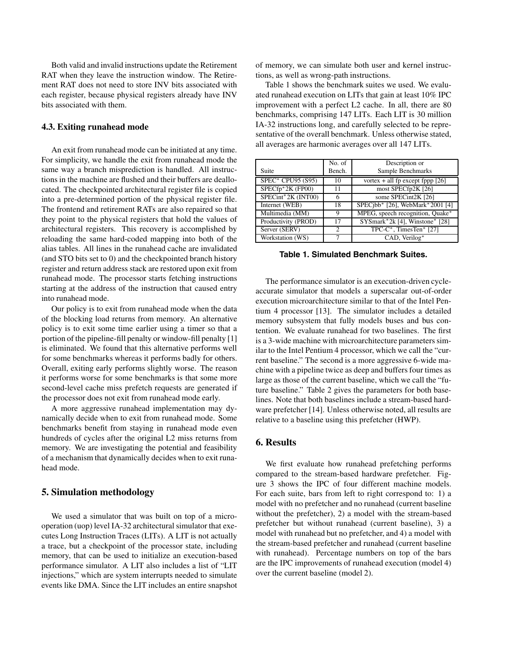Both valid and invalid instructions update the Retirement RAT when they leave the instruction window. The Retirement RAT does not need to store INV bits associated with each register, because physical registers already have INV bits associated with them.

#### **4.3. Exiting runahead mode**

An exit from runahead mode can be initiated at any time. For simplicity, we handle the exit from runahead mode the same way a branch misprediction is handled. All instructions in the machine are flushed and their buffers are deallocated. The checkpointed architectural register file is copied into a pre-determined portion of the physical register file. The frontend and retirement RATs are also repaired so that they point to the physical registers that hold the values of architectural registers. This recovery is accomplished by reloading the same hard-coded mapping into both of the alias tables. All lines in the runahead cache are invalidated (and STO bits set to 0) and the checkpointed branch history register and return address stack are restored upon exit from runahead mode. The processor starts fetching instructions starting at the address of the instruction that caused entry into runahead mode.

Our policy is to exit from runahead mode when the data of the blocking load returns from memory. An alternative policy is to exit some time earlier using a timer so that a portion of the pipeline-fill penalty or window-fill penalty [1] is eliminated. We found that this alternative performs well for some benchmarks whereas it performs badly for others. Overall, exiting early performs slightly worse. The reason it performs worse for some benchmarks is that some more second-level cache miss prefetch requests are generated if the processor does not exit from runahead mode early.

A more aggressive runahead implementation may dynamically decide when to exit from runahead mode. Some benchmarks benefit from staying in runahead mode even hundreds of cycles after the original L2 miss returns from memory. We are investigating the potential and feasibility of a mechanism that dynamically decides when to exit runahead mode.

## **5. Simulation methodology**

We used a simulator that was built on top of a microoperation (uop) level IA-32 architectural simulator that executes Long Instruction Traces (LITs). A LIT is not actually a trace, but a checkpoint of the processor state, including memory, that can be used to initialize an execution-based performance simulator. A LIT also includes a list of "LIT injections," which are system interrupts needed to simulate events like DMA. Since the LIT includes an entire snapshot

of memory, we can simulate both user and kernel instructions, as well as wrong-path instructions.

Table 1 shows the benchmark suites we used. We evaluated runahead execution on LITs that gain at least 10% IPC improvement with a perfect L2 cache. In all, there are 80 benchmarks, comprising 147 LITs. Each LIT is 30 million IA-32 instructions long, and carefully selected to be representative of the overall benchmark. Unless otherwise stated, all averages are harmonic averages over all 147 LITs.

|                     | No. of                      | Description or                     |
|---------------------|-----------------------------|------------------------------------|
|                     |                             |                                    |
| Suite               | Bench.                      | Sample Benchmarks                  |
| SPEC* CPU95 (S95)   | 10                          | vortex + all fp except fppp $[26]$ |
| $SPECTp*2K$ (FP00)  | 11                          | most SPECfp2K [26]                 |
| SPECint*2K (INT00)  | 6                           | some SPECint2K [26]                |
| Internet (WEB)      | 18                          | SPECjbb* [26], WebMark*2001 [4]    |
| Multimedia (MM)     | 9                           | MPEG, speech recognition, Quake*   |
| Productivity (PROD) | 17                          | SYSmark*2k [4], Winstone* [28]     |
| Server (SERV)       | $\mathcal{D}_{\mathcal{L}}$ | TPC-C*, TimesTen* [27]             |
| Workstation (WS)    |                             | CAD, Verilog*                      |

**Table 1. Simulated Benchmark Suites.**

The performance simulator is an execution-driven cycleaccurate simulator that models a superscalar out-of-order execution microarchitecture similar to that of the Intel Pentium 4 processor [13]. The simulator includes a detailed memory subsystem that fully models buses and bus contention. We evaluate runahead for two baselines. The first is a 3-wide machine with microarchitecture parameters similar to the Intel Pentium 4 processor, which we call the "current baseline." The second is a more aggressive 6-wide machine with a pipeline twice as deep and buffers four times as large as those of the current baseline, which we call the "future baseline." Table 2 gives the parameters for both baselines. Note that both baselines include a stream-based hardware prefetcher [14]. Unless otherwise noted, all results are relative to a baseline using this prefetcher (HWP).

# **6. Results**

We first evaluate how runahead prefetching performs compared to the stream-based hardware prefetcher. Figure 3 shows the IPC of four different machine models. For each suite, bars from left to right correspond to: 1) a model with no prefetcher and no runahead (current baseline without the prefetcher), 2) a model with the stream-based prefetcher but without runahead (current baseline), 3) a model with runahead but no prefetcher, and 4) a model with the stream-based prefetcher and runahead (current baseline with runahead). Percentage numbers on top of the bars are the IPC improvements of runahead execution (model 4) over the current baseline (model 2).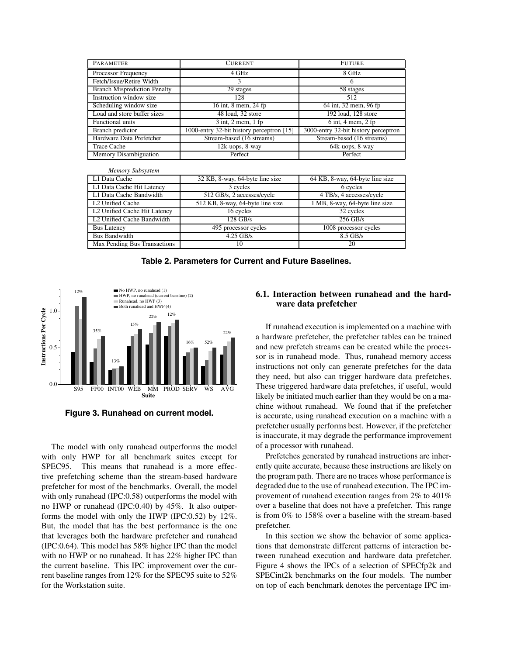| PARAMETER                           | <b>CURRENT</b>                            | <b>FUTURE</b>                        |
|-------------------------------------|-------------------------------------------|--------------------------------------|
| Processor Frequency                 | 4 GHz                                     | 8 GHz                                |
| Fetch/Issue/Retire Width            | 3                                         | 6                                    |
| <b>Branch Misprediction Penalty</b> | 29 stages                                 | 58 stages                            |
| Instruction window size             | 128                                       | 512                                  |
| Scheduling window size              | 16 int, 8 mem, 24 fp                      | 64 int, 32 mem, 96 fp                |
| Load and store buffer sizes         | 48 load, 32 store                         | 192 load, 128 store                  |
| Functional units                    | $3$ int, $2$ mem, $1$ fp                  | $6$ int, $4$ mem, $2$ fp             |
| Branch predictor                    | 1000-entry 32-bit history perceptron [15] | 3000-entry 32-bit history perceptron |
| Hardware Data Prefetcher            | Stream-based (16 streams)                 | Stream-based (16 streams)            |
| <b>Trace Cache</b>                  | 12k-uops, 8-way                           | 64k-uops, 8-way                      |
| Memory Disambiguation               | Perfect                                   | Perfect                              |

| L1 Data Cache                | 32 KB, 8-way, 64-byte line size  | 64 KB, 8-way, 64-byte line size |
|------------------------------|----------------------------------|---------------------------------|
| L1 Data Cache Hit Latency    | 3 cycles                         | 6 cycles                        |
| L1 Data Cache Bandwidth      | 512 GB/s, 2 accesses/cycle       | 4 TB/s, 4 accesses/cycle        |
| L <sub>2</sub> Unified Cache | 512 KB, 8-way, 64-byte line size | 1 MB, 8-way, 64-byte line size  |
| L2 Unified Cache Hit Latency | 16 cycles                        | 32 cycles                       |
| L2 Unified Cache Bandwidth   | $128$ GB/s                       | $256$ GB/s                      |
| <b>Bus Latency</b>           | 495 processor cycles             | 1008 processor cycles           |
| <b>Bus Bandwidth</b>         | $4.25$ GB/s                      | $8.5$ GB/s                      |
| Max Pending Bus Transactions | 10                               | 20                              |
|                              |                                  |                                 |

**Table 2. Parameters for Current and Future Baselines.**



**Figure 3. Runahead on current model.**

The model with only runahead outperforms the model with only HWP for all benchmark suites except for SPEC95. This means that runahead is a more effective prefetching scheme than the stream-based hardware prefetcher for most of the benchmarks. Overall, the model with only runahead (IPC:0.58) outperforms the model with no HWP or runahead (IPC:0.40) by 45%. It also outperforms the model with only the HWP (IPC:0.52) by 12%. But, the model that has the best performance is the one that leverages both the hardware prefetcher and runahead (IPC:0.64). This model has 58% higher IPC than the model with no HWP or no runahead. It has 22% higher IPC than the current baseline. This IPC improvement over the current baseline ranges from 12% for the SPEC95 suite to 52% for the Workstation suite.

#### **6.1. Interaction between runahead and the hardware data prefetcher**

If runahead execution is implemented on a machine with a hardware prefetcher, the prefetcher tables can be trained and new prefetch streams can be created while the processor is in runahead mode. Thus, runahead memory access instructions not only can generate prefetches for the data they need, but also can trigger hardware data prefetches. These triggered hardware data prefetches, if useful, would likely be initiated much earlier than they would be on a machine without runahead. We found that if the prefetcher is accurate, using runahead execution on a machine with a prefetcher usually performs best. However, if the prefetcher is inaccurate, it may degrade the performance improvement of a processor with runahead.

Prefetches generated by runahead instructions are inherently quite accurate, because these instructions are likely on the program path. There are no traces whose performance is degraded due to the use of runahead execution. The IPC improvement of runahead execution ranges from 2% to 401% over a baseline that does not have a prefetcher. This range is from 0% to 158% over a baseline with the stream-based prefetcher.

In this section we show the behavior of some applications that demonstrate different patterns of interaction between runahead execution and hardware data prefetcher. Figure 4 shows the IPCs of a selection of SPECfp2k and SPECint2k benchmarks on the four models. The number on top of each benchmark denotes the percentage IPC im-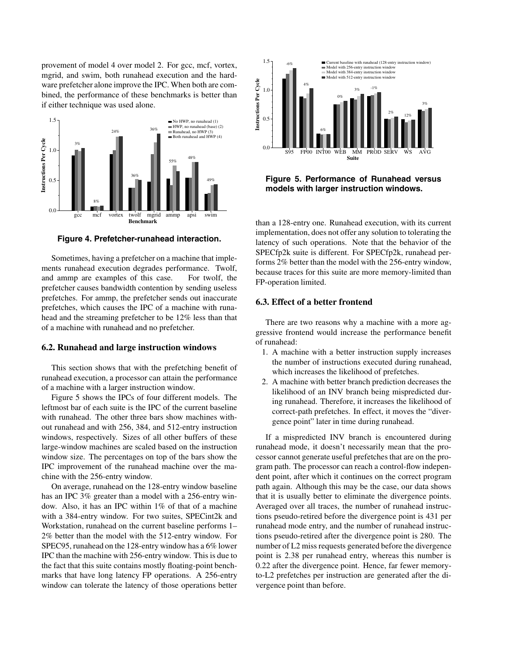provement of model 4 over model 2. For gcc, mcf, vortex, mgrid, and swim, both runahead execution and the hardware prefetcher alone improve the IPC. When both are combined, the performance of these benchmarks is better than if either technique was used alone.



**Figure 4. Prefetcher-runahead interaction.**

Sometimes, having a prefetcher on a machine that implements runahead execution degrades performance. Twolf, and ammp are examples of this case. For twolf, the prefetcher causes bandwidth contention by sending useless prefetches. For ammp, the prefetcher sends out inaccurate prefetches, which causes the IPC of a machine with runahead and the streaming prefetcher to be 12% less than that of a machine with runahead and no prefetcher.

#### **6.2. Runahead and large instruction windows**

This section shows that with the prefetching benefit of runahead execution, a processor can attain the performance of a machine with a larger instruction window.

Figure 5 shows the IPCs of four different models. The leftmost bar of each suite is the IPC of the current baseline with runahead. The other three bars show machines without runahead and with 256, 384, and 512-entry instruction windows, respectively. Sizes of all other buffers of these large-window machines are scaled based on the instruction window size. The percentages on top of the bars show the IPC improvement of the runahead machine over the machine with the 256-entry window.

On average, runahead on the 128-entry window baseline has an IPC 3% greater than a model with a 256-entry window. Also, it has an IPC within 1% of that of a machine with a 384-entry window. For two suites, SPECint2k and Workstation, runahead on the current baseline performs 1– 2% better than the model with the 512-entry window. For SPEC95, runahead on the 128-entry window has a 6% lower IPC than the machine with 256-entry window. This is due to the fact that this suite contains mostly floating-point benchmarks that have long latency FP operations. A 256-entry window can tolerate the latency of those operations better



**Figure 5. Performance of Runahead versus models with larger instruction windows.**

than a 128-entry one. Runahead execution, with its current implementation, does not offer any solution to tolerating the latency of such operations. Note that the behavior of the SPECfp2k suite is different. For SPECfp2k, runahead performs 2% better than the model with the 256-entry window, because traces for this suite are more memory-limited than FP-operation limited.

#### **6.3. Effect of a better frontend**

There are two reasons why a machine with a more aggressive frontend would increase the performance benefit of runahead:

- 1. A machine with a better instruction supply increases the number of instructions executed during runahead, which increases the likelihood of prefetches.
- 2. A machine with better branch prediction decreases the likelihood of an INV branch being mispredicted during runahead. Therefore, it increases the likelihood of correct-path prefetches. In effect, it moves the "divergence point" later in time during runahead.

If a mispredicted INV branch is encountered during runahead mode, it doesn't necessarily mean that the processor cannot generate useful prefetches that are on the program path. The processor can reach a control-flow independent point, after which it continues on the correct program path again. Although this may be the case, our data shows that it is usually better to eliminate the divergence points. Averaged over all traces, the number of runahead instructions pseudo-retired before the divergence point is 431 per runahead mode entry, and the number of runahead instructions pseudo-retired after the divergence point is 280. The number of L2 miss requests generated before the divergence point is 2.38 per runahead entry, whereas this number is 0.22 after the divergence point. Hence, far fewer memoryto-L2 prefetches per instruction are generated after the divergence point than before.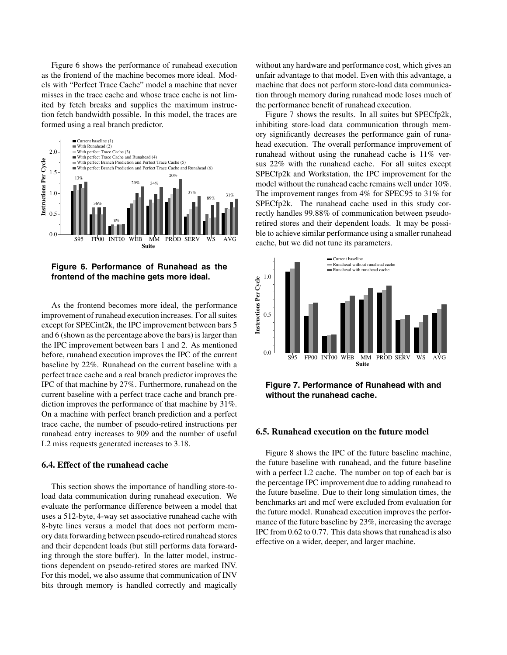Figure 6 shows the performance of runahead execution as the frontend of the machine becomes more ideal. Models with "Perfect Trace Cache" model a machine that never misses in the trace cache and whose trace cache is not limited by fetch breaks and supplies the maximum instruction fetch bandwidth possible. In this model, the traces are formed using a real branch predictor.



**Figure 6. Performance of Runahead as the frontend of the machine gets more ideal.**

As the frontend becomes more ideal, the performance improvement of runahead execution increases. For all suites except for SPECint2k, the IPC improvement between bars 5 and 6 (shown as the percentage above the bars) is larger than the IPC improvement between bars 1 and 2. As mentioned before, runahead execution improves the IPC of the current baseline by 22%. Runahead on the current baseline with a perfect trace cache and a real branch predictor improves the IPC of that machine by 27%. Furthermore, runahead on the current baseline with a perfect trace cache and branch prediction improves the performance of that machine by 31%. On a machine with perfect branch prediction and a perfect trace cache, the number of pseudo-retired instructions per runahead entry increases to 909 and the number of useful L2 miss requests generated increases to 3.18.

#### **6.4. Effect of the runahead cache**

This section shows the importance of handling store-toload data communication during runahead execution. We evaluate the performance difference between a model that uses a 512-byte, 4-way set associative runahead cache with 8-byte lines versus a model that does not perform memory data forwarding between pseudo-retired runahead stores and their dependent loads (but still performs data forwarding through the store buffer). In the latter model, instructions dependent on pseudo-retired stores are marked INV. For this model, we also assume that communication of INV bits through memory is handled correctly and magically without any hardware and performance cost, which gives an unfair advantage to that model. Even with this advantage, a machine that does not perform store-load data communication through memory during runahead mode loses much of the performance benefit of runahead execution.

Figure 7 shows the results. In all suites but SPECfp2k, inhibiting store-load data communication through memory significantly decreases the performance gain of runahead execution. The overall performance improvement of runahead without using the runahead cache is 11% versus 22% with the runahead cache. For all suites except SPECfp2k and Workstation, the IPC improvement for the model without the runahead cache remains well under 10%. The improvement ranges from 4% for SPEC95 to 31% for SPECfp2k. The runahead cache used in this study correctly handles 99.88% of communication between pseudoretired stores and their dependent loads. It may be possible to achieve similar performance using a smaller runahead cache, but we did not tune its parameters.



**Figure 7. Performance of Runahead with and without the runahead cache.**

## **6.5. Runahead execution on the future model**

Figure 8 shows the IPC of the future baseline machine, the future baseline with runahead, and the future baseline with a perfect L2 cache. The number on top of each bar is the percentage IPC improvement due to adding runahead to the future baseline. Due to their long simulation times, the benchmarks art and mcf were excluded from evaluation for the future model. Runahead execution improves the performance of the future baseline by 23%, increasing the average IPC from 0.62 to 0.77. This data shows that runahead is also effective on a wider, deeper, and larger machine.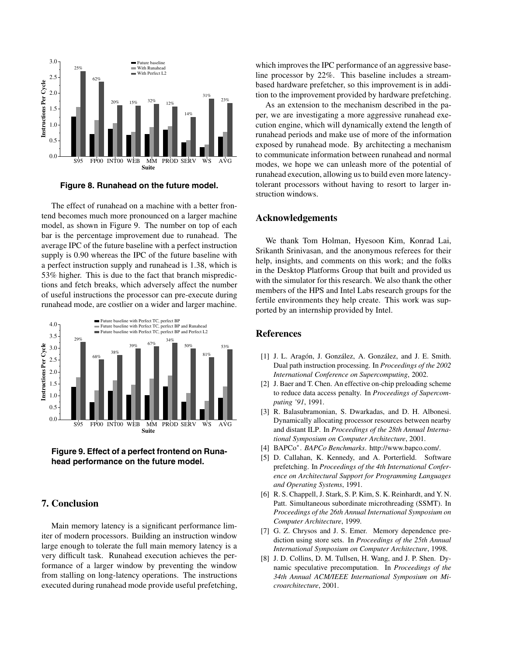

**Figure 8. Runahead on the future model.**

The effect of runahead on a machine with a better frontend becomes much more pronounced on a larger machine model, as shown in Figure 9. The number on top of each bar is the percentage improvement due to runahead. The average IPC of the future baseline with a perfect instruction supply is 0.90 whereas the IPC of the future baseline with a perfect instruction supply and runahead is 1.38, which is 53% higher. This is due to the fact that branch mispredictions and fetch breaks, which adversely affect the number of useful instructions the processor can pre-execute during runahead mode, are costlier on a wider and larger machine.





#### **7. Conclusion**

Main memory latency is a significant performance limiter of modern processors. Building an instruction window large enough to tolerate the full main memory latency is a very difficult task. Runahead execution achieves the performance of a larger window by preventing the window from stalling on long-latency operations. The instructions executed during runahead mode provide useful prefetching, which improves the IPC performance of an aggressive baseline processor by 22%. This baseline includes a streambased hardware prefetcher, so this improvement is in addition to the improvement provided by hardware prefetching.

As an extension to the mechanism described in the paper, we are investigating a more aggressive runahead execution engine, which will dynamically extend the length of runahead periods and make use of more of the information exposed by runahead mode. By architecting a mechanism to communicate information between runahead and normal modes, we hope we can unleash more of the potential of runahead execution, allowing us to build even more latencytolerant processors without having to resort to larger instruction windows.

## **Acknowledgements**

We thank Tom Holman, Hyesoon Kim, Konrad Lai, Srikanth Srinivasan, and the anonymous referees for their help, insights, and comments on this work; and the folks in the Desktop Platforms Group that built and provided us with the simulator for this research. We also thank the other members of the HPS and Intel Labs research groups for the fertile environments they help create. This work was supported by an internship provided by Intel.

#### **References**

- [1] J. L. Aragón, J. González, A. González, and J. E. Smith. Dual path instruction processing. In *Proceedings of the 2002 International Conference on Supercomputing*, 2002.
- [2] J. Baer and T. Chen. An effective on-chip preloading scheme to reduce data access penalty. In *Proceedings of Supercomputing '91*, 1991.
- [3] R. Balasubramonian, S. Dwarkadas, and D. H. Albonesi. Dynamically allocating processor resources between nearby and distant ILP. In *Proceedings of the 28th Annual International Symposium on Computer Architecture*, 2001.
- [4] BAPCo∗. *BAPCo Benchmarks*. http://www.bapco.com/.
- [5] D. Callahan, K. Kennedy, and A. Porterfield. Software prefetching. In *Proceedings of the 4th International Conference on Architectural Support for Programming Languages and Operating Systems*, 1991.
- [6] R. S. Chappell, J. Stark, S. P. Kim, S. K. Reinhardt, and Y. N. Patt. Simultaneous subordinate microthreading (SSMT). In *Proceedings of the 26th Annual International Symposium on Computer Architecture*, 1999.
- [7] G. Z. Chrysos and J. S. Emer. Memory dependence prediction using store sets. In *Proceedings of the 25th Annual International Symposium on Computer Architecture*, 1998.
- [8] J. D. Collins, D. M. Tullsen, H. Wang, and J. P. Shen. Dynamic speculative precomputation. In *Proceedings of the 34th Annual ACM/IEEE International Symposium on Microarchitecture*, 2001.